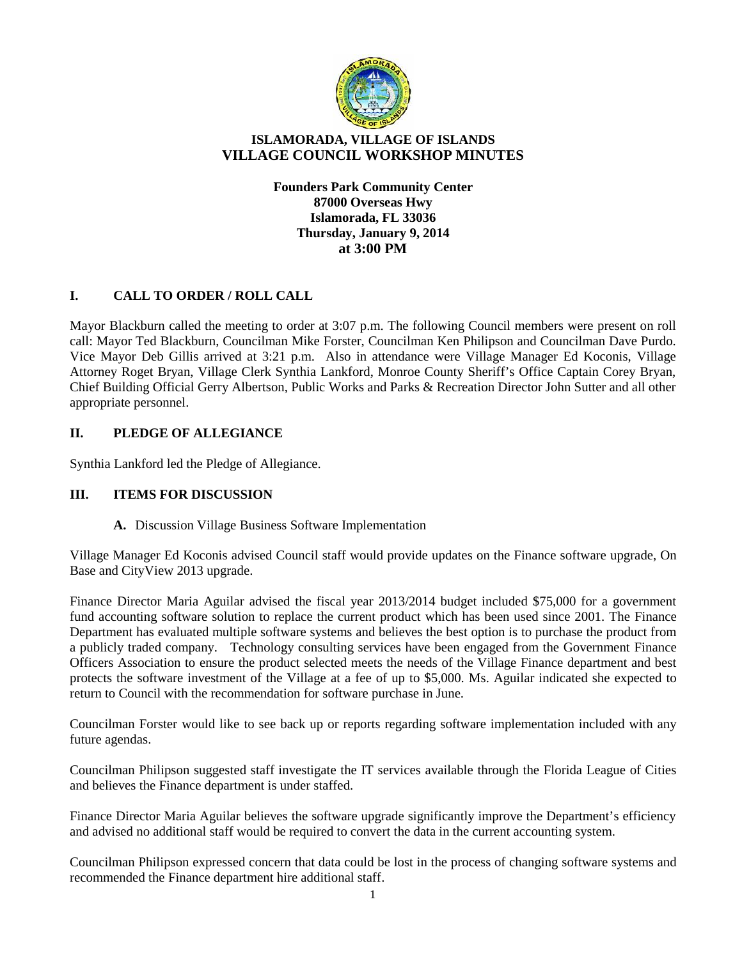

# **ISLAMORADA, VILLAGE OF ISLANDS VILLAGE COUNCIL WORKSHOP MINUTES**

**Founders Park Community Center 87000 Overseas Hwy Islamorada, FL 33036 Thursday, January 9, 2014 at 3:00 PM**

# **I. CALL TO ORDER / ROLL CALL**

Mayor Blackburn called the meeting to order at 3:07 p.m. The following Council members were present on roll call: Mayor Ted Blackburn, Councilman Mike Forster, Councilman Ken Philipson and Councilman Dave Purdo. Vice Mayor Deb Gillis arrived at 3:21 p.m. Also in attendance were Village Manager Ed Koconis, Village Attorney Roget Bryan, Village Clerk Synthia Lankford, Monroe County Sheriff's Office Captain Corey Bryan, Chief Building Official Gerry Albertson, Public Works and Parks & Recreation Director John Sutter and all other appropriate personnel.

# **II. PLEDGE OF ALLEGIANCE**

Synthia Lankford led the Pledge of Allegiance.

## **III. ITEMS FOR DISCUSSION**

## **A.** Discussion Village Business Software Implementation

Village Manager Ed Koconis advised Council staff would provide updates on the Finance software upgrade, On Base and CityView 2013 upgrade.

Finance Director Maria Aguilar advised the fiscal year 2013/2014 budget included \$75,000 for a government fund accounting software solution to replace the current product which has been used since 2001. The Finance Department has evaluated multiple software systems and believes the best option is to purchase the product from a publicly traded company. Technology consulting services have been engaged from the Government Finance Officers Association to ensure the product selected meets the needs of the Village Finance department and best protects the software investment of the Village at a fee of up to \$5,000. Ms. Aguilar indicated she expected to return to Council with the recommendation for software purchase in June.

Councilman Forster would like to see back up or reports regarding software implementation included with any future agendas.

Councilman Philipson suggested staff investigate the IT services available through the Florida League of Cities and believes the Finance department is under staffed.

Finance Director Maria Aguilar believes the software upgrade significantly improve the Department's efficiency and advised no additional staff would be required to convert the data in the current accounting system.

Councilman Philipson expressed concern that data could be lost in the process of changing software systems and recommended the Finance department hire additional staff.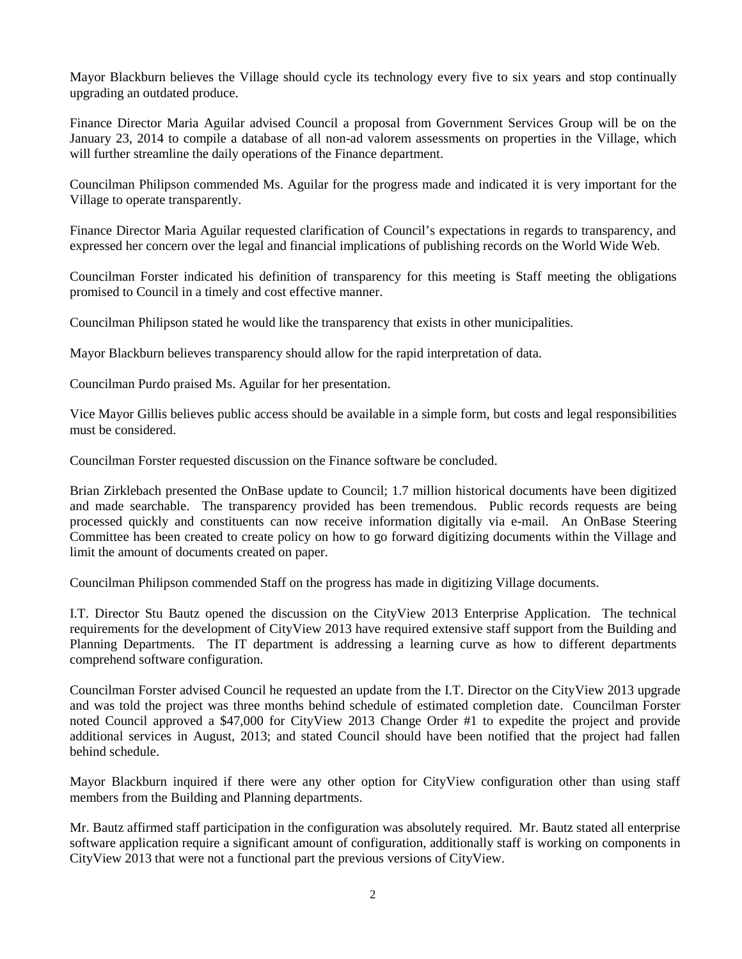Mayor Blackburn believes the Village should cycle its technology every five to six years and stop continually upgrading an outdated produce.

Finance Director Maria Aguilar advised Council a proposal from Government Services Group will be on the January 23, 2014 to compile a database of all non-ad valorem assessments on properties in the Village, which will further streamline the daily operations of the Finance department.

Councilman Philipson commended Ms. Aguilar for the progress made and indicated it is very important for the Village to operate transparently.

Finance Director Maria Aguilar requested clarification of Council's expectations in regards to transparency, and expressed her concern over the legal and financial implications of publishing records on the World Wide Web.

Councilman Forster indicated his definition of transparency for this meeting is Staff meeting the obligations promised to Council in a timely and cost effective manner.

Councilman Philipson stated he would like the transparency that exists in other municipalities.

Mayor Blackburn believes transparency should allow for the rapid interpretation of data.

Councilman Purdo praised Ms. Aguilar for her presentation.

Vice Mayor Gillis believes public access should be available in a simple form, but costs and legal responsibilities must be considered.

Councilman Forster requested discussion on the Finance software be concluded.

Brian Zirklebach presented the OnBase update to Council; 1.7 million historical documents have been digitized and made searchable. The transparency provided has been tremendous. Public records requests are being processed quickly and constituents can now receive information digitally via e-mail. An OnBase Steering Committee has been created to create policy on how to go forward digitizing documents within the Village and limit the amount of documents created on paper.

Councilman Philipson commended Staff on the progress has made in digitizing Village documents.

I.T. Director Stu Bautz opened the discussion on the CityView 2013 Enterprise Application. The technical requirements for the development of CityView 2013 have required extensive staff support from the Building and Planning Departments. The IT department is addressing a learning curve as how to different departments comprehend software configuration.

Councilman Forster advised Council he requested an update from the I.T. Director on the CityView 2013 upgrade and was told the project was three months behind schedule of estimated completion date. Councilman Forster noted Council approved a \$47,000 for CityView 2013 Change Order #1 to expedite the project and provide additional services in August, 2013; and stated Council should have been notified that the project had fallen behind schedule.

Mayor Blackburn inquired if there were any other option for CityView configuration other than using staff members from the Building and Planning departments.

Mr. Bautz affirmed staff participation in the configuration was absolutely required. Mr. Bautz stated all enterprise software application require a significant amount of configuration, additionally staff is working on components in CityView 2013 that were not a functional part the previous versions of CityView.